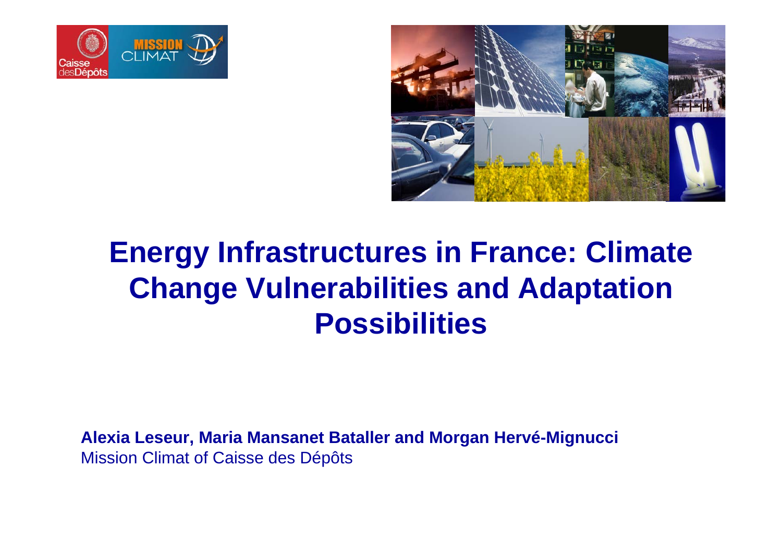



# **Energy Infrastructures in France: Climate Change Vulnerabilities and Adaptation Possibilities**

**Alexia Leseur, Maria Mansanet Bataller and Morgan Hervé-Mignucci** Mission Climat of Caisse des Dépôts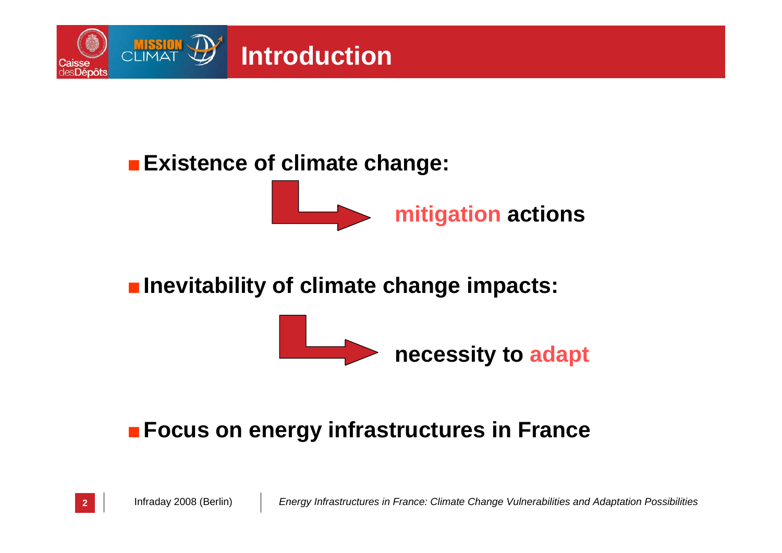

#### ■ **Existence of climate change:**



#### ■ Inevitability of climate change impacts:



#### ■ **Focus on energy infrastructures in France**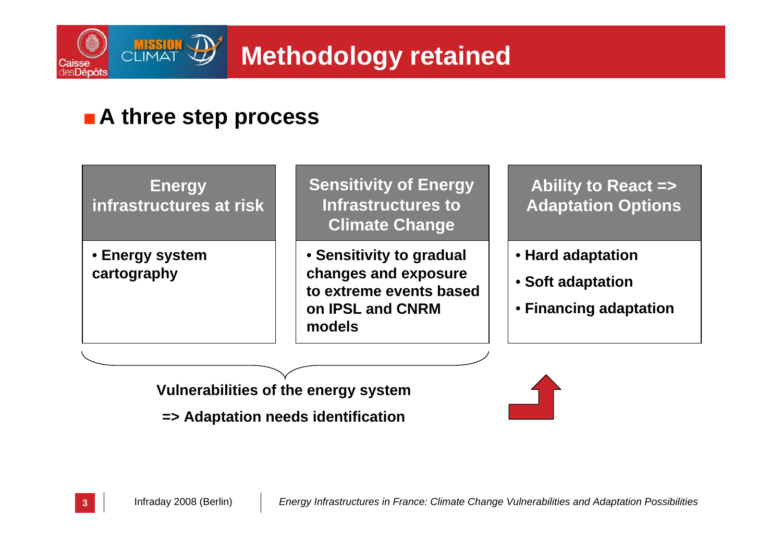

#### ■ A three step process

**Energy infrastructures at risk**

• **Energy system cartography**

**Sensitivity of Energy Infrastructures to Climate Change**

• **Sensitivity to gradual changes and exposure to extreme events based on IPSL and CNRM models**

**Ability to React => Adaptation Options**

- **Hard adaptation**
- **Soft adaptation**
- **Financing adaptation**

**Vulnerabilities of the energy system**

**=> Adaptation needs identification**

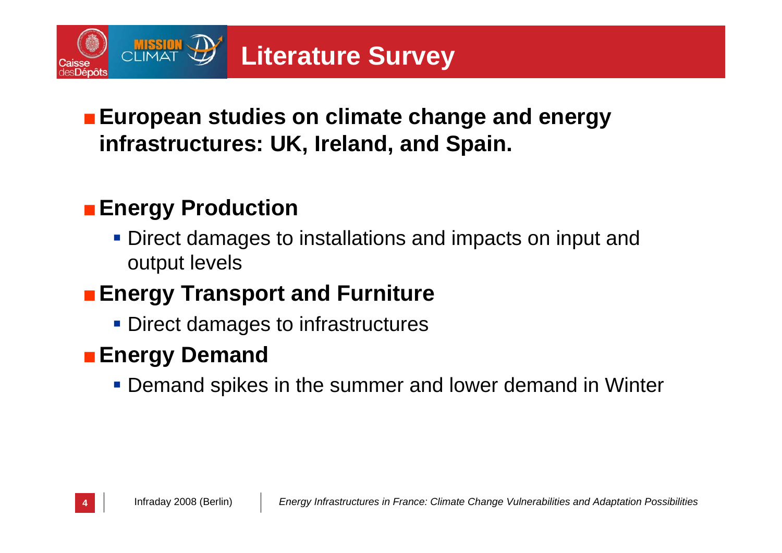

#### ■ European studies on climate change and energy **infrastructures: UK, Ireland, and Spain.**

## ■ Energy Production

**Direct damages to installations and impacts on input and** output levels

# ■ Energy Transport and Furniture

**Direct damages to infrastructures** 

## ■ Energy Demand

**- Demand spikes in the summer and lower demand in Winter**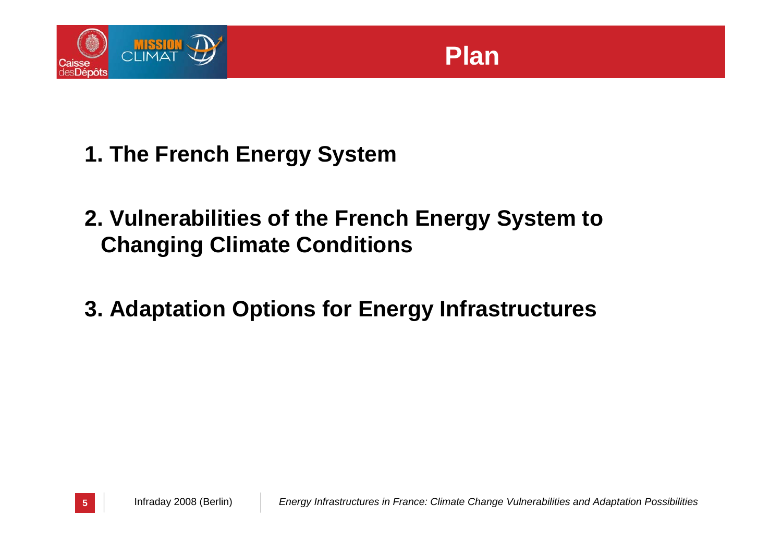

- **1. The French Energy System**
- **2. Vulnerabilities of the French Energy System to Changing Climate Conditions**
- **3. Adaptation Options for Energy Infrastructures**

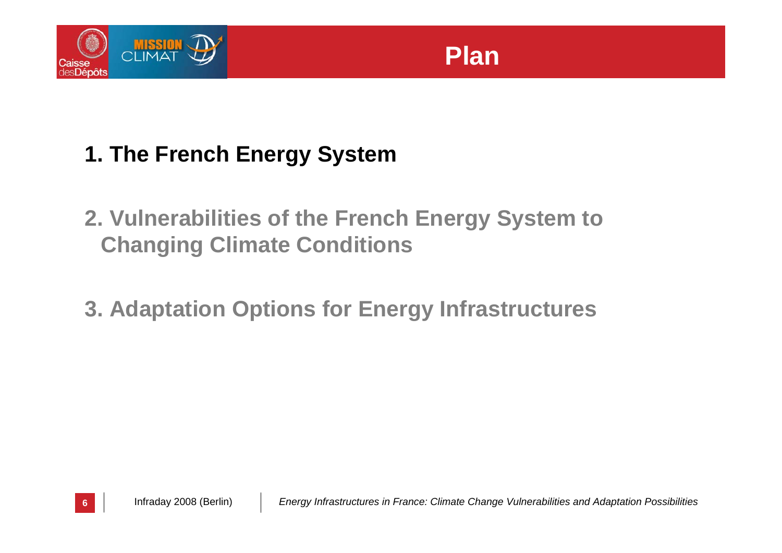

# **Plan**

# **1. The French Energy System**

- **2. Vulnerabilities of the French Energy System to Changing Climate Conditions**
- **3. Adaptation Options for Energy Infrastructures**

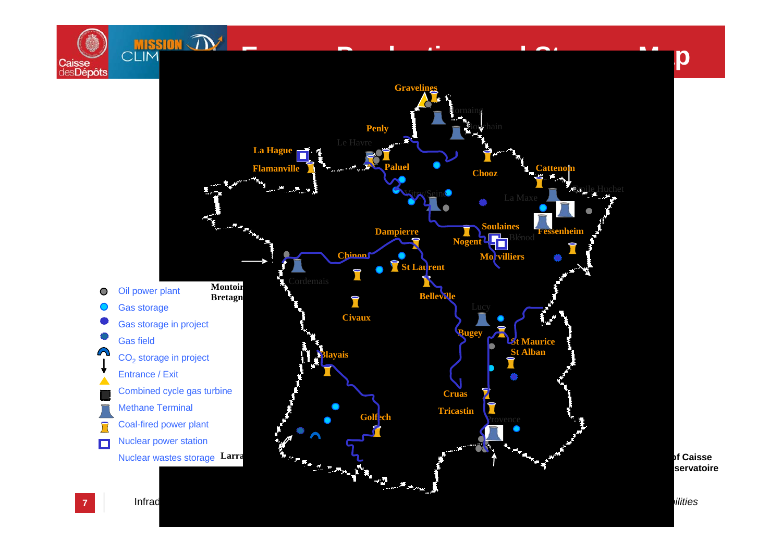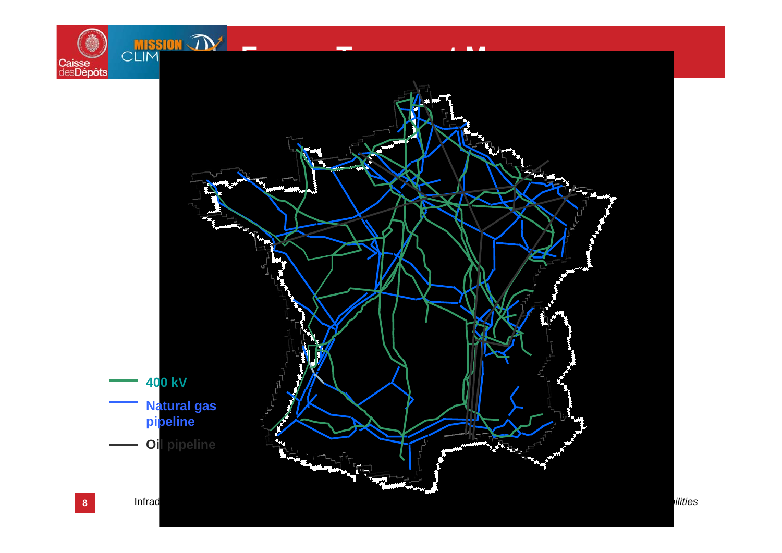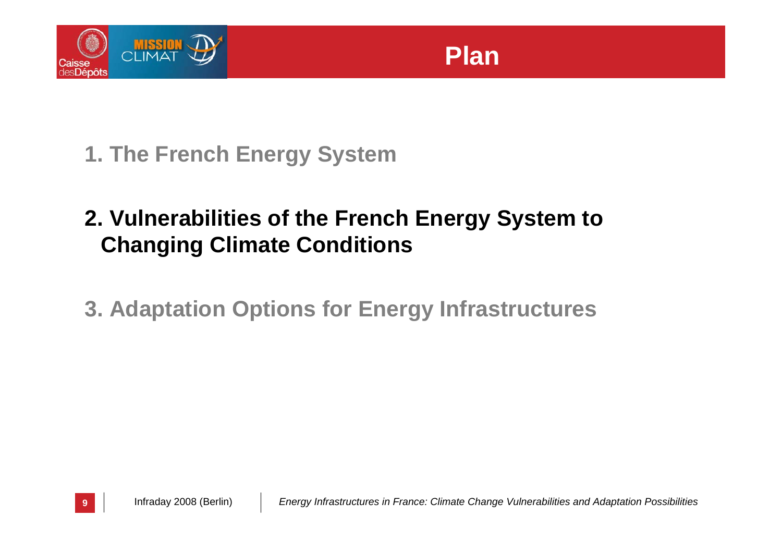

**1. The French Energy System**

# **2. Vulnerabilities of the French Energy System to Changing Climate Conditions**

**3. Adaptation Options for Energy Infrastructures**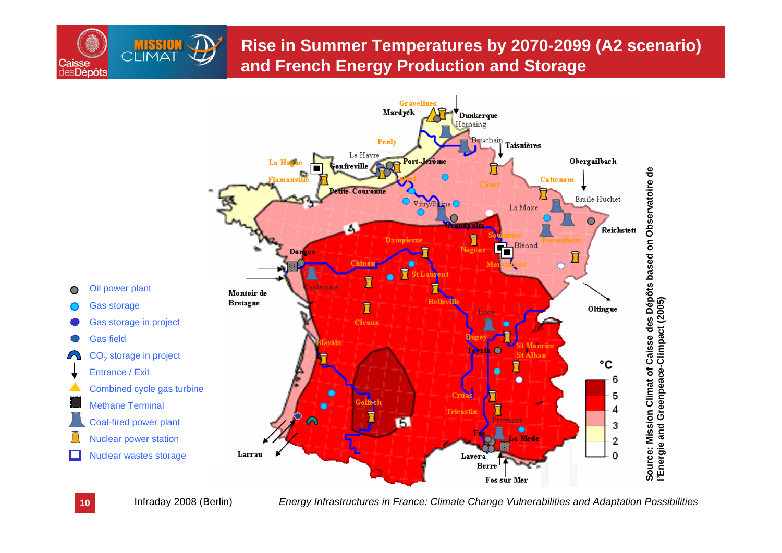#### **Rise in Summer Temperatures by 2070-2099 (A2 scenario) and French Energy Production and Storage**



**10**

Caisse **desDépôts** 

Infraday 2008 (Berlin) *Energy Infrastructures in France: Climate Change Vulnerabilities and Adaptation Possibilities*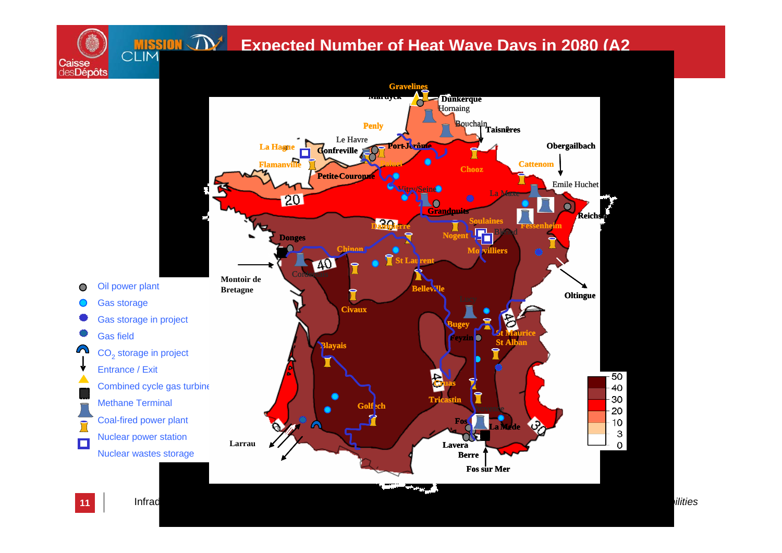#### **Expected Number of Heat Wave Days in 2080 (A2**



Caisse<br>desDépôts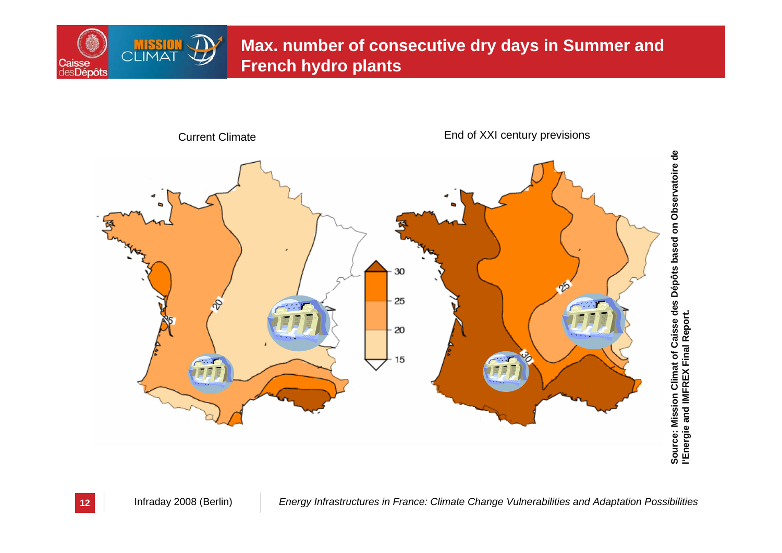

#### **Max. number of consecutive dry days in Summer and French hydro plants**

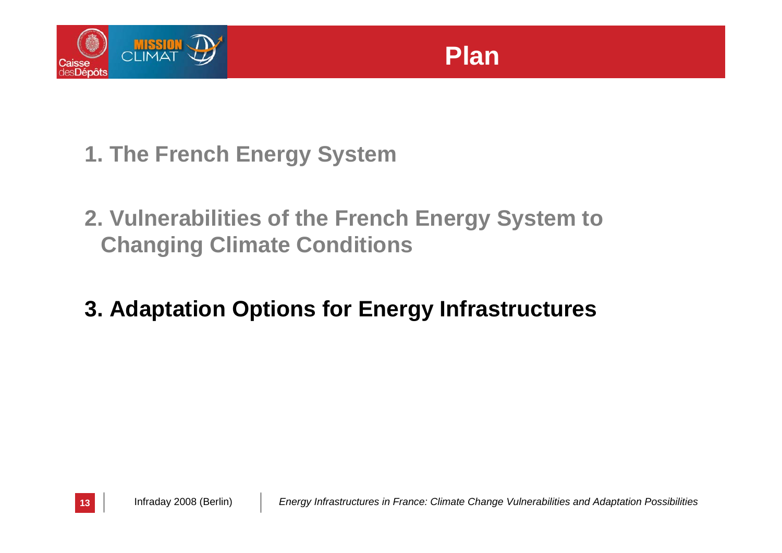

- **1. The French Energy System**
- **2. Vulnerabilities of the French Energy System to Changing Climate Conditions**

## **3. Adaptation Options for Energy Infrastructures**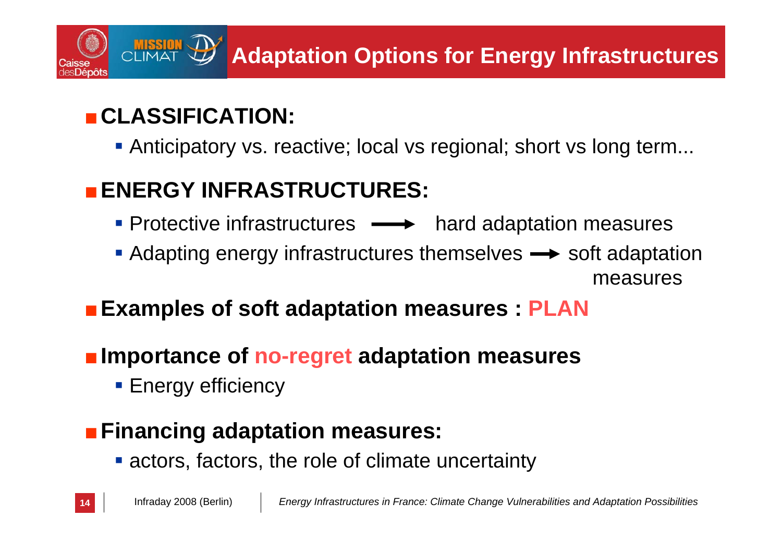# **Adaptation Options for Energy Infrastructures**

# ■**CLASSIFICATION:**

Anticipatory vs. reactive; local vs regional; short vs long term...

# ■**ENERGY INFRASTRUCTURES:**

- Protective infrastructures  $\longrightarrow$  hard adaptation measures
- $\blacksquare$  Adapting energy infrastructures themselves  $\rightarrow$  soft adaptation measures

#### ■ Examples of soft adaptation measures : PLAN

- Importance of no-regret adaptation measures
	- **Energy efficiency**

# ■ Financing adaptation measures:

**Exercise actors, the role of climate uncertainty**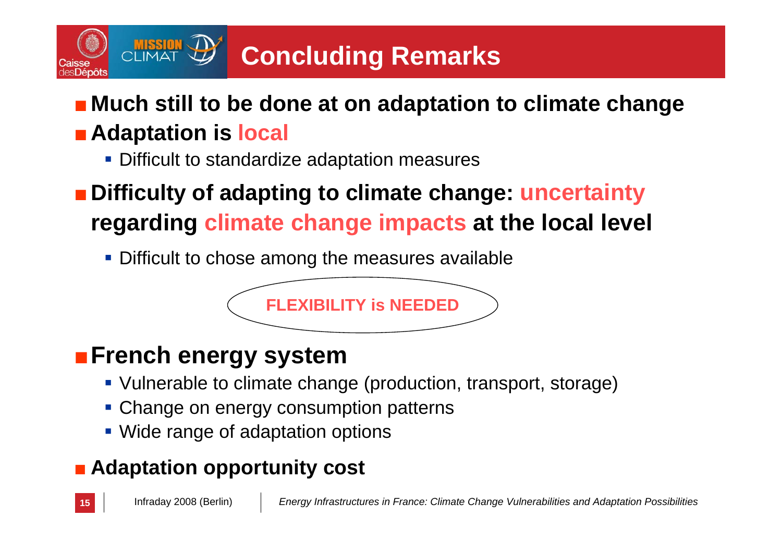# **Concluding Remarks**

# ■ Much still to be done at on adaptation to climate change

# ■ Adaptation is local

**Difficult to standardize adaptation measures** 

# ■**Difficulty of adapting to climate change: uncertainty regarding climate change impacts at the local level**

**Difficult to chose among the measures available** 

# **FLEXIBILITY is NEEDED**

# ■**French energy system**

- Vulnerable to climate change (production, transport, storage)
- **Change on energy consumption patterns**
- **Wide range of adaptation options**

# ■ **Adaptation opportunity cost**

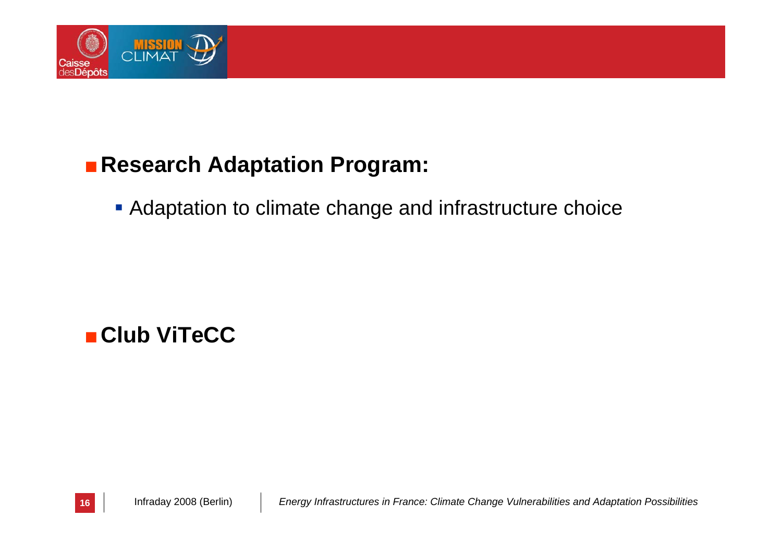

#### ■ Research Adaptation Program:

**Adaptation to climate change and infrastructure choice** 

#### ■**Club ViTeCC**